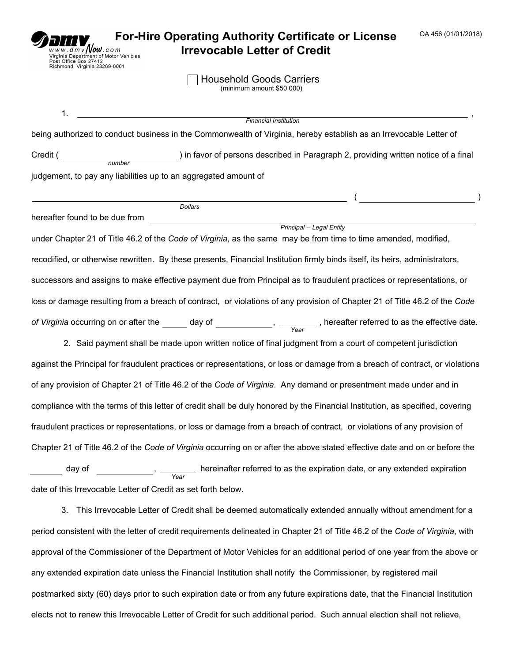| OA 456 (01/01/2018)<br><b>For-Hire Operating Authority Certificate or License</b><br>$\frac{1}{dm}$ $\sqrt{ }$ $\frac{1}{w}$ .com<br><b>Irrevocable Letter of Credit</b><br>Virginia Department of Motor Vehicles<br>Office Box 27412<br>Richmond, Virginia 23269-0001 |  |  |  |  |  |  |  |
|------------------------------------------------------------------------------------------------------------------------------------------------------------------------------------------------------------------------------------------------------------------------|--|--|--|--|--|--|--|
| <b>Household Goods Carriers</b><br>(minimum amount \$50,000)                                                                                                                                                                                                           |  |  |  |  |  |  |  |
| 1.<br><u> 1980 - Johann Barn, mars an t-Amerikaansk ferskeider (</u><br><b>Financial Institution</b><br>being authorized to conduct business in the Commonwealth of Virginia, hereby establish as an Irrevocable Letter of                                             |  |  |  |  |  |  |  |
|                                                                                                                                                                                                                                                                        |  |  |  |  |  |  |  |
| judgement, to pay any liabilities up to an aggregated amount of                                                                                                                                                                                                        |  |  |  |  |  |  |  |
| $\sim$ (construction of $\sim$ )<br><b>Dollars</b>                                                                                                                                                                                                                     |  |  |  |  |  |  |  |
| Principal -- Legal Entity                                                                                                                                                                                                                                              |  |  |  |  |  |  |  |
| under Chapter 21 of Title 46.2 of the Code of Virginia, as the same may be from time to time amended, modified,                                                                                                                                                        |  |  |  |  |  |  |  |
| recodified, or otherwise rewritten. By these presents, Financial Institution firmly binds itself, its heirs, administrators,                                                                                                                                           |  |  |  |  |  |  |  |
| successors and assigns to make effective payment due from Principal as to fraudulent practices or representations, or                                                                                                                                                  |  |  |  |  |  |  |  |
| loss or damage resulting from a breach of contract, or violations of any provision of Chapter 21 of Title 46.2 of the Code                                                                                                                                             |  |  |  |  |  |  |  |
| of Virginia occurring on or after the $\boxed{\bullet}$ day of $\boxed{\bullet}$ , $\boxed{\bullet}$ , hereafter referred to as the effective date.                                                                                                                    |  |  |  |  |  |  |  |
| 2. Said payment shall be made upon written notice of final judgment from a court of competent jurisdiction                                                                                                                                                             |  |  |  |  |  |  |  |
| against the Principal for fraudulent practices or representations, or loss or damage from a breach of contract, or violations                                                                                                                                          |  |  |  |  |  |  |  |
| of any provision of Chapter 21 of Title 46.2 of the Code of Virginia. Any demand or presentment made under and in                                                                                                                                                      |  |  |  |  |  |  |  |
| compliance with the terms of this letter of credit shall be duly honored by the Financial Institution, as specified, covering                                                                                                                                          |  |  |  |  |  |  |  |
| fraudulent practices or representations, or loss or damage from a breach of contract, or violations of any provision of                                                                                                                                                |  |  |  |  |  |  |  |
| Chapter 21 of Title 46.2 of the Code of Virginia occurring on or after the above stated effective date and on or before the                                                                                                                                            |  |  |  |  |  |  |  |
| day of $\boxed{\cdot}$ , hereinafter referred to as the expiration date, or any extended expiration                                                                                                                                                                    |  |  |  |  |  |  |  |
| date of this Irrevocable Letter of Credit as set forth below.                                                                                                                                                                                                          |  |  |  |  |  |  |  |
| This Irrevocable Letter of Credit shall be deemed automatically extended annually without amendment for a<br>3.                                                                                                                                                        |  |  |  |  |  |  |  |

period consistent with the letter of credit requirements delineated in Chapter 21 of Title 46.2 of the *Code of Virginia*, with approval of the Commissioner of the Department of Motor Vehicles for an additional period of one year from the above or any extended expiration date unless the Financial Institution shall notify the Commissioner, by registered mail postmarked sixty (60) days prior to such expiration date or from any future expirations date, that the Financial Institution elects not to renew this Irrevocable Letter of Credit for such additional period. Such annual election shall not relieve,